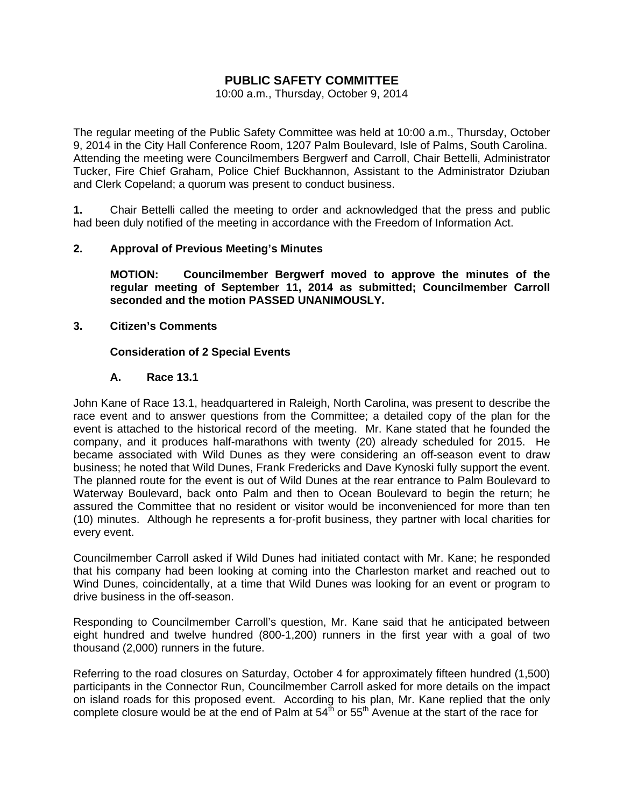# **PUBLIC SAFETY COMMITTEE**

10:00 a.m., Thursday, October 9, 2014

The regular meeting of the Public Safety Committee was held at 10:00 a.m., Thursday, October 9, 2014 in the City Hall Conference Room, 1207 Palm Boulevard, Isle of Palms, South Carolina. Attending the meeting were Councilmembers Bergwerf and Carroll, Chair Bettelli, Administrator Tucker, Fire Chief Graham, Police Chief Buckhannon, Assistant to the Administrator Dziuban and Clerk Copeland; a quorum was present to conduct business.

**1.** Chair Bettelli called the meeting to order and acknowledged that the press and public had been duly notified of the meeting in accordance with the Freedom of Information Act.

### **2. Approval of Previous Meeting's Minutes**

 **MOTION: Councilmember Bergwerf moved to approve the minutes of the regular meeting of September 11, 2014 as submitted; Councilmember Carroll seconded and the motion PASSED UNANIMOUSLY.** 

#### **3. Citizen's Comments**

### **Consideration of 2 Special Events**

### **A. Race 13.1**

John Kane of Race 13.1, headquartered in Raleigh, North Carolina, was present to describe the race event and to answer questions from the Committee; a detailed copy of the plan for the event is attached to the historical record of the meeting. Mr. Kane stated that he founded the company, and it produces half-marathons with twenty (20) already scheduled for 2015. He became associated with Wild Dunes as they were considering an off-season event to draw business; he noted that Wild Dunes, Frank Fredericks and Dave Kynoski fully support the event. The planned route for the event is out of Wild Dunes at the rear entrance to Palm Boulevard to Waterway Boulevard, back onto Palm and then to Ocean Boulevard to begin the return; he assured the Committee that no resident or visitor would be inconvenienced for more than ten (10) minutes. Although he represents a for-profit business, they partner with local charities for every event.

Councilmember Carroll asked if Wild Dunes had initiated contact with Mr. Kane; he responded that his company had been looking at coming into the Charleston market and reached out to Wind Dunes, coincidentally, at a time that Wild Dunes was looking for an event or program to drive business in the off-season.

Responding to Councilmember Carroll's question, Mr. Kane said that he anticipated between eight hundred and twelve hundred (800-1,200) runners in the first year with a goal of two thousand (2,000) runners in the future.

Referring to the road closures on Saturday, October 4 for approximately fifteen hundred (1,500) participants in the Connector Run, Councilmember Carroll asked for more details on the impact on island roads for this proposed event. According to his plan, Mr. Kane replied that the only complete closure would be at the end of Palm at  $54<sup>th</sup>$  or  $55<sup>th</sup>$  Avenue at the start of the race for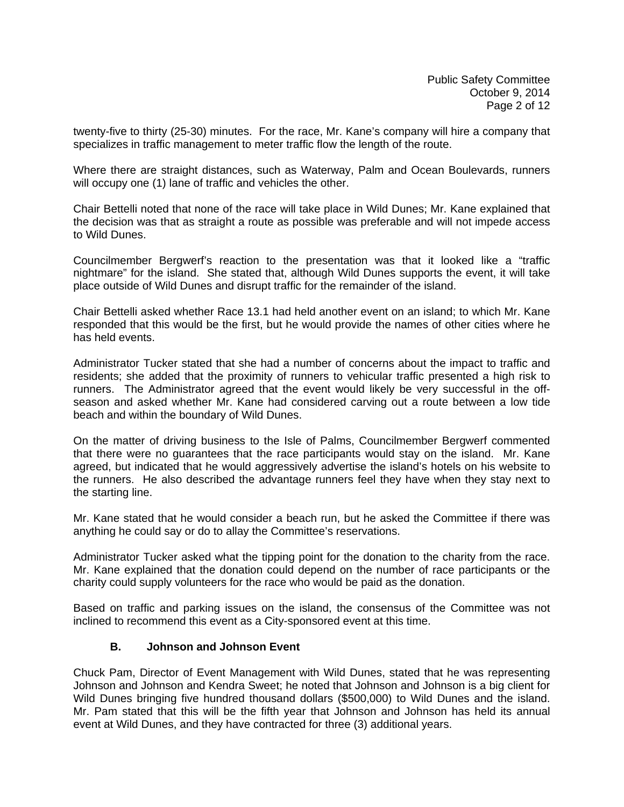twenty-five to thirty (25-30) minutes. For the race, Mr. Kane's company will hire a company that specializes in traffic management to meter traffic flow the length of the route.

Where there are straight distances, such as Waterway, Palm and Ocean Boulevards, runners will occupy one (1) lane of traffic and vehicles the other.

Chair Bettelli noted that none of the race will take place in Wild Dunes; Mr. Kane explained that the decision was that as straight a route as possible was preferable and will not impede access to Wild Dunes.

Councilmember Bergwerf's reaction to the presentation was that it looked like a "traffic nightmare" for the island. She stated that, although Wild Dunes supports the event, it will take place outside of Wild Dunes and disrupt traffic for the remainder of the island.

Chair Bettelli asked whether Race 13.1 had held another event on an island; to which Mr. Kane responded that this would be the first, but he would provide the names of other cities where he has held events.

Administrator Tucker stated that she had a number of concerns about the impact to traffic and residents; she added that the proximity of runners to vehicular traffic presented a high risk to runners. The Administrator agreed that the event would likely be very successful in the offseason and asked whether Mr. Kane had considered carving out a route between a low tide beach and within the boundary of Wild Dunes.

On the matter of driving business to the Isle of Palms, Councilmember Bergwerf commented that there were no guarantees that the race participants would stay on the island. Mr. Kane agreed, but indicated that he would aggressively advertise the island's hotels on his website to the runners. He also described the advantage runners feel they have when they stay next to the starting line.

Mr. Kane stated that he would consider a beach run, but he asked the Committee if there was anything he could say or do to allay the Committee's reservations.

Administrator Tucker asked what the tipping point for the donation to the charity from the race. Mr. Kane explained that the donation could depend on the number of race participants or the charity could supply volunteers for the race who would be paid as the donation.

Based on traffic and parking issues on the island, the consensus of the Committee was not inclined to recommend this event as a City-sponsored event at this time.

#### **B. Johnson and Johnson Event**

Chuck Pam, Director of Event Management with Wild Dunes, stated that he was representing Johnson and Johnson and Kendra Sweet; he noted that Johnson and Johnson is a big client for Wild Dunes bringing five hundred thousand dollars (\$500,000) to Wild Dunes and the island. Mr. Pam stated that this will be the fifth year that Johnson and Johnson has held its annual event at Wild Dunes, and they have contracted for three (3) additional years.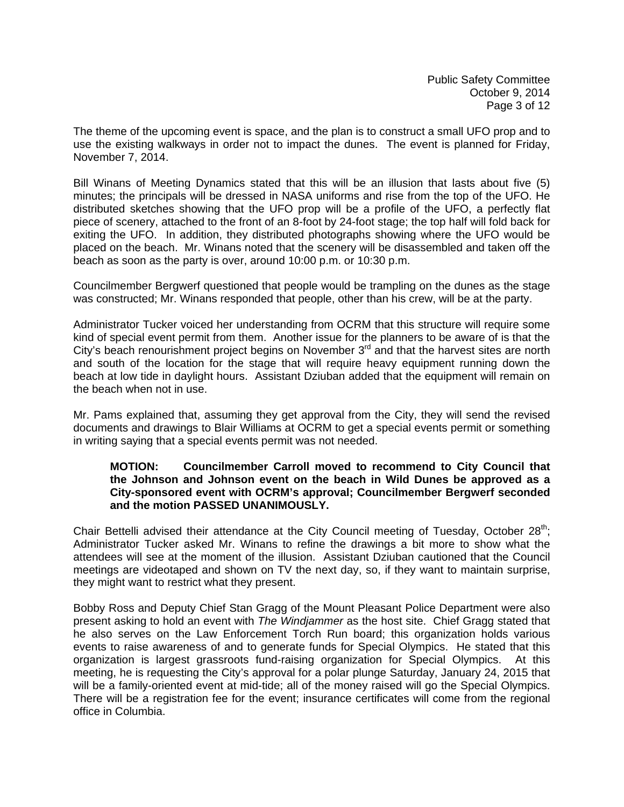The theme of the upcoming event is space, and the plan is to construct a small UFO prop and to use the existing walkways in order not to impact the dunes. The event is planned for Friday, November 7, 2014.

Bill Winans of Meeting Dynamics stated that this will be an illusion that lasts about five (5) minutes; the principals will be dressed in NASA uniforms and rise from the top of the UFO. He distributed sketches showing that the UFO prop will be a profile of the UFO, a perfectly flat piece of scenery, attached to the front of an 8-foot by 24-foot stage; the top half will fold back for exiting the UFO. In addition, they distributed photographs showing where the UFO would be placed on the beach. Mr. Winans noted that the scenery will be disassembled and taken off the beach as soon as the party is over, around 10:00 p.m. or 10:30 p.m.

Councilmember Bergwerf questioned that people would be trampling on the dunes as the stage was constructed; Mr. Winans responded that people, other than his crew, will be at the party.

Administrator Tucker voiced her understanding from OCRM that this structure will require some kind of special event permit from them. Another issue for the planners to be aware of is that the City's beach renourishment project begins on November  $3<sup>rd</sup>$  and that the harvest sites are north and south of the location for the stage that will require heavy equipment running down the beach at low tide in daylight hours. Assistant Dziuban added that the equipment will remain on the beach when not in use.

Mr. Pams explained that, assuming they get approval from the City, they will send the revised documents and drawings to Blair Williams at OCRM to get a special events permit or something in writing saying that a special events permit was not needed.

#### **MOTION: Councilmember Carroll moved to recommend to City Council that the Johnson and Johnson event on the beach in Wild Dunes be approved as a City-sponsored event with OCRM's approval; Councilmember Bergwerf seconded and the motion PASSED UNANIMOUSLY.**

Chair Bettelli advised their attendance at the City Council meeting of Tuesday, October 28<sup>th</sup>; Administrator Tucker asked Mr. Winans to refine the drawings a bit more to show what the attendees will see at the moment of the illusion. Assistant Dziuban cautioned that the Council meetings are videotaped and shown on TV the next day, so, if they want to maintain surprise, they might want to restrict what they present.

Bobby Ross and Deputy Chief Stan Gragg of the Mount Pleasant Police Department were also present asking to hold an event with *The Windjammer* as the host site. Chief Gragg stated that he also serves on the Law Enforcement Torch Run board; this organization holds various events to raise awareness of and to generate funds for Special Olympics. He stated that this organization is largest grassroots fund-raising organization for Special Olympics. At this meeting, he is requesting the City's approval for a polar plunge Saturday, January 24, 2015 that will be a family-oriented event at mid-tide; all of the money raised will go the Special Olympics. There will be a registration fee for the event; insurance certificates will come from the regional office in Columbia.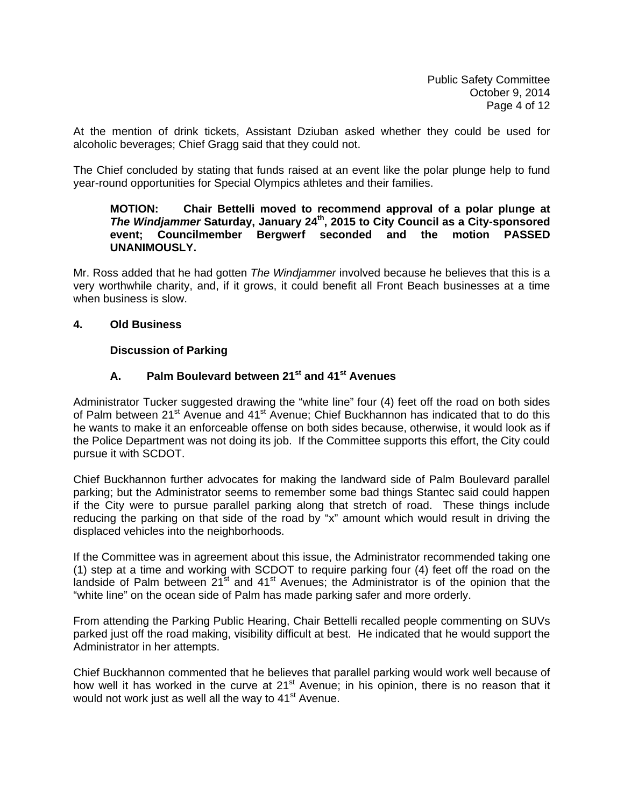At the mention of drink tickets, Assistant Dziuban asked whether they could be used for alcoholic beverages; Chief Gragg said that they could not.

The Chief concluded by stating that funds raised at an event like the polar plunge help to fund year-round opportunities for Special Olympics athletes and their families.

#### **MOTION: Chair Bettelli moved to recommend approval of a polar plunge at**  *The Windjammer* **Saturday, January 24th, 2015 to City Council as a City-sponsored event; Councilmember Bergwerf seconded and the motion PASSED UNANIMOUSLY.**

Mr. Ross added that he had gotten *The Windjammer* involved because he believes that this is a very worthwhile charity, and, if it grows, it could benefit all Front Beach businesses at a time when business is slow.

### **4. Old Business**

### **Discussion of Parking**

# **A. Palm Boulevard between 21st and 41st Avenues**

Administrator Tucker suggested drawing the "white line" four (4) feet off the road on both sides of Palm between 21<sup>st</sup> Avenue and 41<sup>st</sup> Avenue; Chief Buckhannon has indicated that to do this he wants to make it an enforceable offense on both sides because, otherwise, it would look as if the Police Department was not doing its job. If the Committee supports this effort, the City could pursue it with SCDOT.

Chief Buckhannon further advocates for making the landward side of Palm Boulevard parallel parking; but the Administrator seems to remember some bad things Stantec said could happen if the City were to pursue parallel parking along that stretch of road. These things include reducing the parking on that side of the road by "x" amount which would result in driving the displaced vehicles into the neighborhoods.

If the Committee was in agreement about this issue, the Administrator recommended taking one (1) step at a time and working with SCDOT to require parking four (4) feet off the road on the landside of Palm between  $21^{st}$  and  $41^{st}$  Avenues; the Administrator is of the opinion that the "white line" on the ocean side of Palm has made parking safer and more orderly.

From attending the Parking Public Hearing, Chair Bettelli recalled people commenting on SUVs parked just off the road making, visibility difficult at best. He indicated that he would support the Administrator in her attempts.

Chief Buckhannon commented that he believes that parallel parking would work well because of how well it has worked in the curve at 21<sup>st</sup> Avenue; in his opinion, there is no reason that it would not work just as well all the way to 41<sup>st</sup> Avenue.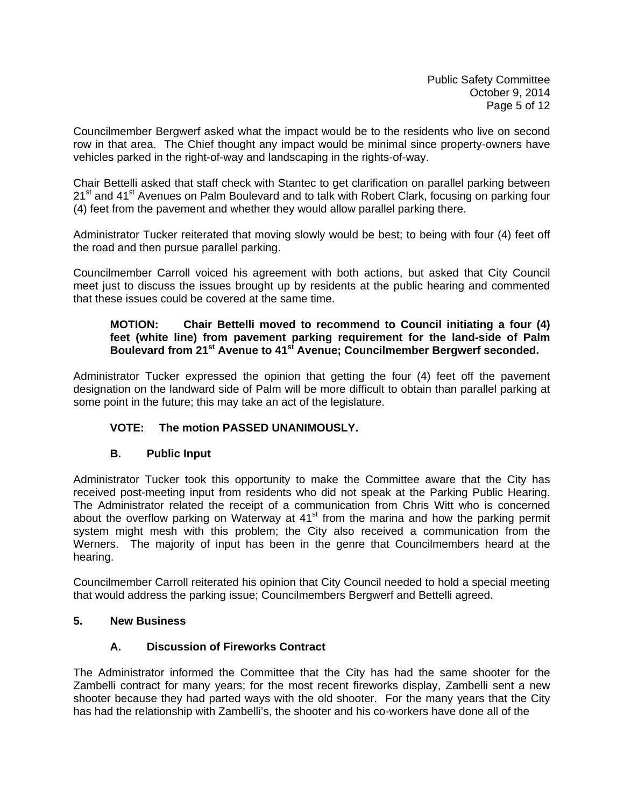Councilmember Bergwerf asked what the impact would be to the residents who live on second row in that area. The Chief thought any impact would be minimal since property-owners have vehicles parked in the right-of-way and landscaping in the rights-of-way.

Chair Bettelli asked that staff check with Stantec to get clarification on parallel parking between 21<sup>st</sup> and 41<sup>st</sup> Avenues on Palm Boulevard and to talk with Robert Clark, focusing on parking four (4) feet from the pavement and whether they would allow parallel parking there.

Administrator Tucker reiterated that moving slowly would be best; to being with four (4) feet off the road and then pursue parallel parking.

Councilmember Carroll voiced his agreement with both actions, but asked that City Council meet just to discuss the issues brought up by residents at the public hearing and commented that these issues could be covered at the same time.

## **MOTION: Chair Bettelli moved to recommend to Council initiating a four (4) feet (white line) from pavement parking requirement for the land-side of Palm Boulevard from 21st Avenue to 41st Avenue; Councilmember Bergwerf seconded.**

Administrator Tucker expressed the opinion that getting the four (4) feet off the pavement designation on the landward side of Palm will be more difficult to obtain than parallel parking at some point in the future; this may take an act of the legislature.

# **VOTE: The motion PASSED UNANIMOUSLY.**

## **B. Public Input**

Administrator Tucker took this opportunity to make the Committee aware that the City has received post-meeting input from residents who did not speak at the Parking Public Hearing. The Administrator related the receipt of a communication from Chris Witt who is concerned about the overflow parking on Waterway at  $41<sup>st</sup>$  from the marina and how the parking permit system might mesh with this problem; the City also received a communication from the Werners. The majority of input has been in the genre that Councilmembers heard at the hearing.

Councilmember Carroll reiterated his opinion that City Council needed to hold a special meeting that would address the parking issue; Councilmembers Bergwerf and Bettelli agreed.

## **5. New Business**

# **A. Discussion of Fireworks Contract**

The Administrator informed the Committee that the City has had the same shooter for the Zambelli contract for many years; for the most recent fireworks display, Zambelli sent a new shooter because they had parted ways with the old shooter. For the many years that the City has had the relationship with Zambelli's, the shooter and his co-workers have done all of the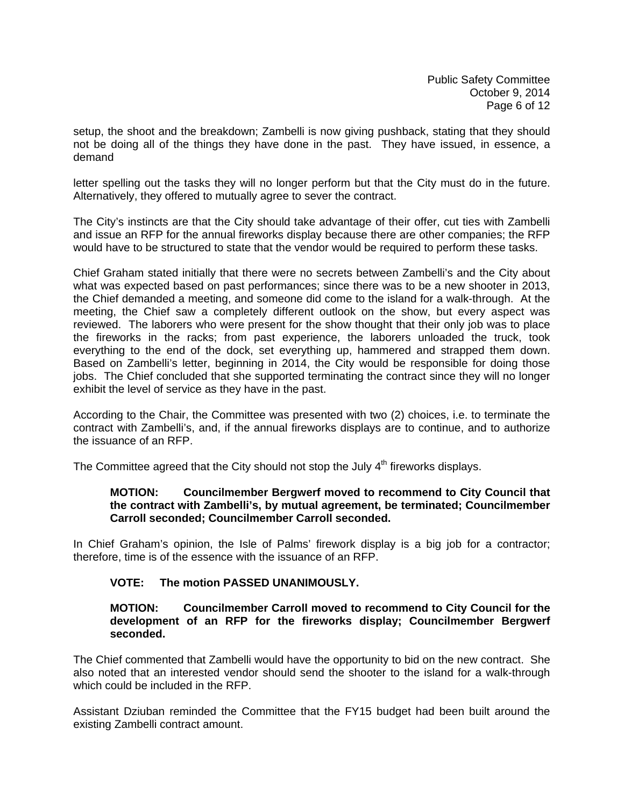setup, the shoot and the breakdown; Zambelli is now giving pushback, stating that they should not be doing all of the things they have done in the past. They have issued, in essence, a demand

letter spelling out the tasks they will no longer perform but that the City must do in the future. Alternatively, they offered to mutually agree to sever the contract.

The City's instincts are that the City should take advantage of their offer, cut ties with Zambelli and issue an RFP for the annual fireworks display because there are other companies; the RFP would have to be structured to state that the vendor would be required to perform these tasks.

Chief Graham stated initially that there were no secrets between Zambelli's and the City about what was expected based on past performances; since there was to be a new shooter in 2013, the Chief demanded a meeting, and someone did come to the island for a walk-through. At the meeting, the Chief saw a completely different outlook on the show, but every aspect was reviewed. The laborers who were present for the show thought that their only job was to place the fireworks in the racks; from past experience, the laborers unloaded the truck, took everything to the end of the dock, set everything up, hammered and strapped them down. Based on Zambelli's letter, beginning in 2014, the City would be responsible for doing those jobs. The Chief concluded that she supported terminating the contract since they will no longer exhibit the level of service as they have in the past.

According to the Chair, the Committee was presented with two (2) choices, i.e. to terminate the contract with Zambelli's, and, if the annual fireworks displays are to continue, and to authorize the issuance of an RFP.

The Committee agreed that the City should not stop the July  $4<sup>th</sup>$  fireworks displays.

#### **MOTION: Councilmember Bergwerf moved to recommend to City Council that the contract with Zambelli's, by mutual agreement, be terminated; Councilmember Carroll seconded; Councilmember Carroll seconded.**

In Chief Graham's opinion, the Isle of Palms' firework display is a big job for a contractor; therefore, time is of the essence with the issuance of an RFP.

## **VOTE: The motion PASSED UNANIMOUSLY.**

#### **MOTION: Councilmember Carroll moved to recommend to City Council for the development of an RFP for the fireworks display; Councilmember Bergwerf seconded.**

The Chief commented that Zambelli would have the opportunity to bid on the new contract. She also noted that an interested vendor should send the shooter to the island for a walk-through which could be included in the RFP.

Assistant Dziuban reminded the Committee that the FY15 budget had been built around the existing Zambelli contract amount.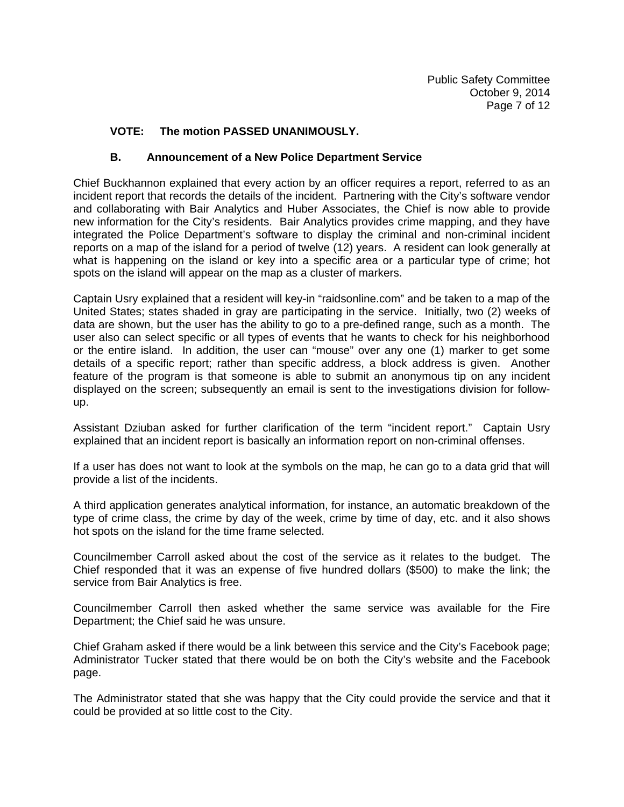## **VOTE: The motion PASSED UNANIMOUSLY.**

#### **B. Announcement of a New Police Department Service**

Chief Buckhannon explained that every action by an officer requires a report, referred to as an incident report that records the details of the incident. Partnering with the City's software vendor and collaborating with Bair Analytics and Huber Associates, the Chief is now able to provide new information for the City's residents. Bair Analytics provides crime mapping, and they have integrated the Police Department's software to display the criminal and non-criminal incident reports on a map of the island for a period of twelve (12) years. A resident can look generally at what is happening on the island or key into a specific area or a particular type of crime; hot spots on the island will appear on the map as a cluster of markers.

Captain Usry explained that a resident will key-in "raidsonline.com" and be taken to a map of the United States; states shaded in gray are participating in the service. Initially, two (2) weeks of data are shown, but the user has the ability to go to a pre-defined range, such as a month. The user also can select specific or all types of events that he wants to check for his neighborhood or the entire island. In addition, the user can "mouse" over any one (1) marker to get some details of a specific report; rather than specific address, a block address is given. Another feature of the program is that someone is able to submit an anonymous tip on any incident displayed on the screen; subsequently an email is sent to the investigations division for followup.

Assistant Dziuban asked for further clarification of the term "incident report." Captain Usry explained that an incident report is basically an information report on non-criminal offenses.

If a user has does not want to look at the symbols on the map, he can go to a data grid that will provide a list of the incidents.

A third application generates analytical information, for instance, an automatic breakdown of the type of crime class, the crime by day of the week, crime by time of day, etc. and it also shows hot spots on the island for the time frame selected.

Councilmember Carroll asked about the cost of the service as it relates to the budget. The Chief responded that it was an expense of five hundred dollars (\$500) to make the link; the service from Bair Analytics is free.

Councilmember Carroll then asked whether the same service was available for the Fire Department; the Chief said he was unsure.

Chief Graham asked if there would be a link between this service and the City's Facebook page; Administrator Tucker stated that there would be on both the City's website and the Facebook page.

The Administrator stated that she was happy that the City could provide the service and that it could be provided at so little cost to the City.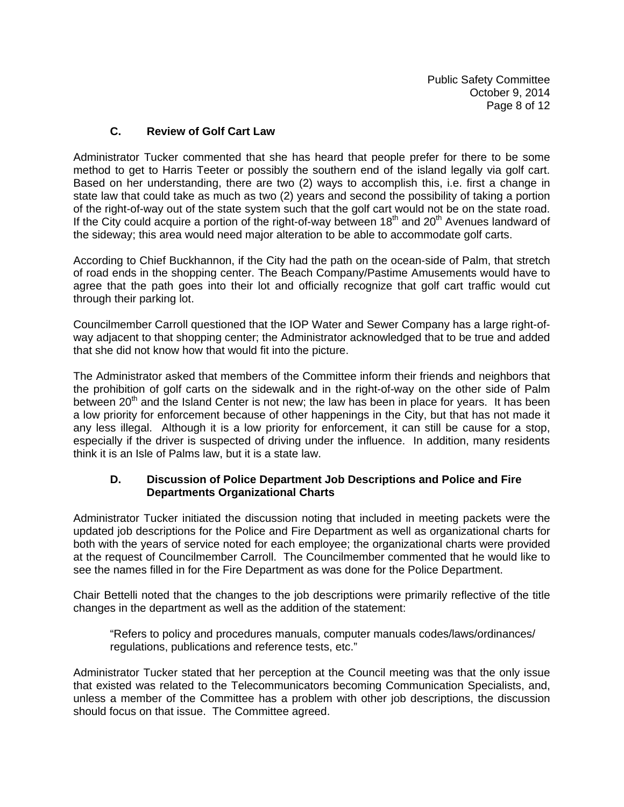## **C. Review of Golf Cart Law**

Administrator Tucker commented that she has heard that people prefer for there to be some method to get to Harris Teeter or possibly the southern end of the island legally via golf cart. Based on her understanding, there are two (2) ways to accomplish this, i.e. first a change in state law that could take as much as two (2) years and second the possibility of taking a portion of the right-of-way out of the state system such that the golf cart would not be on the state road. If the City could acquire a portion of the right-of-way between  $18<sup>th</sup>$  and  $20<sup>th</sup>$  Avenues landward of the sideway; this area would need major alteration to be able to accommodate golf carts.

According to Chief Buckhannon, if the City had the path on the ocean-side of Palm, that stretch of road ends in the shopping center. The Beach Company/Pastime Amusements would have to agree that the path goes into their lot and officially recognize that golf cart traffic would cut through their parking lot.

Councilmember Carroll questioned that the IOP Water and Sewer Company has a large right-ofway adjacent to that shopping center; the Administrator acknowledged that to be true and added that she did not know how that would fit into the picture.

The Administrator asked that members of the Committee inform their friends and neighbors that the prohibition of golf carts on the sidewalk and in the right-of-way on the other side of Palm between  $20<sup>th</sup>$  and the Island Center is not new; the law has been in place for years. It has been a low priority for enforcement because of other happenings in the City, but that has not made it any less illegal. Although it is a low priority for enforcement, it can still be cause for a stop, especially if the driver is suspected of driving under the influence. In addition, many residents think it is an Isle of Palms law, but it is a state law.

## **D. Discussion of Police Department Job Descriptions and Police and Fire Departments Organizational Charts**

Administrator Tucker initiated the discussion noting that included in meeting packets were the updated job descriptions for the Police and Fire Department as well as organizational charts for both with the years of service noted for each employee; the organizational charts were provided at the request of Councilmember Carroll. The Councilmember commented that he would like to see the names filled in for the Fire Department as was done for the Police Department.

Chair Bettelli noted that the changes to the job descriptions were primarily reflective of the title changes in the department as well as the addition of the statement:

 "Refers to policy and procedures manuals, computer manuals codes/laws/ordinances/ regulations, publications and reference tests, etc."

Administrator Tucker stated that her perception at the Council meeting was that the only issue that existed was related to the Telecommunicators becoming Communication Specialists, and, unless a member of the Committee has a problem with other job descriptions, the discussion should focus on that issue. The Committee agreed.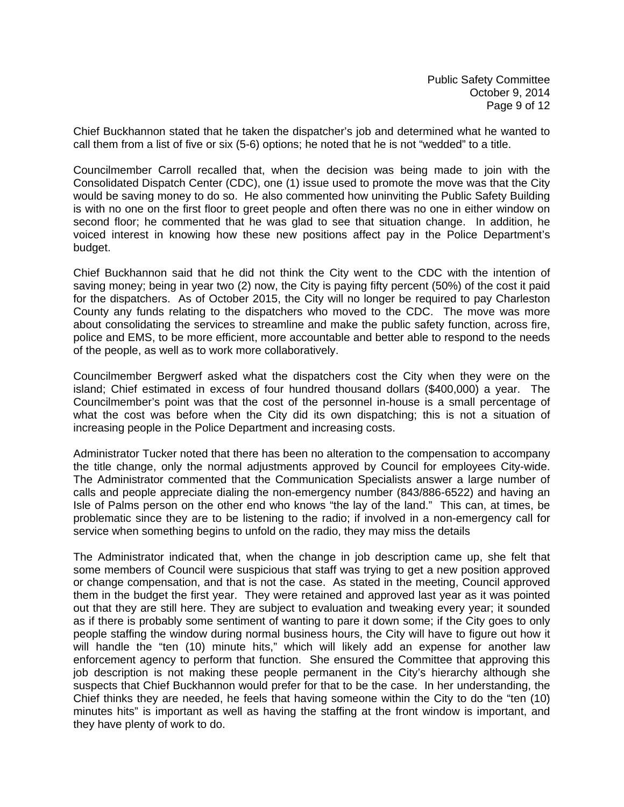Chief Buckhannon stated that he taken the dispatcher's job and determined what he wanted to call them from a list of five or six (5-6) options; he noted that he is not "wedded" to a title.

Councilmember Carroll recalled that, when the decision was being made to join with the Consolidated Dispatch Center (CDC), one (1) issue used to promote the move was that the City would be saving money to do so. He also commented how uninviting the Public Safety Building is with no one on the first floor to greet people and often there was no one in either window on second floor; he commented that he was glad to see that situation change. In addition, he voiced interest in knowing how these new positions affect pay in the Police Department's budget.

Chief Buckhannon said that he did not think the City went to the CDC with the intention of saving money; being in year two (2) now, the City is paying fifty percent (50%) of the cost it paid for the dispatchers. As of October 2015, the City will no longer be required to pay Charleston County any funds relating to the dispatchers who moved to the CDC. The move was more about consolidating the services to streamline and make the public safety function, across fire, police and EMS, to be more efficient, more accountable and better able to respond to the needs of the people, as well as to work more collaboratively.

Councilmember Bergwerf asked what the dispatchers cost the City when they were on the island; Chief estimated in excess of four hundred thousand dollars (\$400,000) a year. The Councilmember's point was that the cost of the personnel in-house is a small percentage of what the cost was before when the City did its own dispatching; this is not a situation of increasing people in the Police Department and increasing costs.

Administrator Tucker noted that there has been no alteration to the compensation to accompany the title change, only the normal adjustments approved by Council for employees City-wide. The Administrator commented that the Communication Specialists answer a large number of calls and people appreciate dialing the non-emergency number (843/886-6522) and having an Isle of Palms person on the other end who knows "the lay of the land." This can, at times, be problematic since they are to be listening to the radio; if involved in a non-emergency call for service when something begins to unfold on the radio, they may miss the details

The Administrator indicated that, when the change in job description came up, she felt that some members of Council were suspicious that staff was trying to get a new position approved or change compensation, and that is not the case. As stated in the meeting, Council approved them in the budget the first year. They were retained and approved last year as it was pointed out that they are still here. They are subject to evaluation and tweaking every year; it sounded as if there is probably some sentiment of wanting to pare it down some; if the City goes to only people staffing the window during normal business hours, the City will have to figure out how it will handle the "ten (10) minute hits," which will likely add an expense for another law enforcement agency to perform that function. She ensured the Committee that approving this job description is not making these people permanent in the City's hierarchy although she suspects that Chief Buckhannon would prefer for that to be the case. In her understanding, the Chief thinks they are needed, he feels that having someone within the City to do the "ten (10) minutes hits" is important as well as having the staffing at the front window is important, and they have plenty of work to do.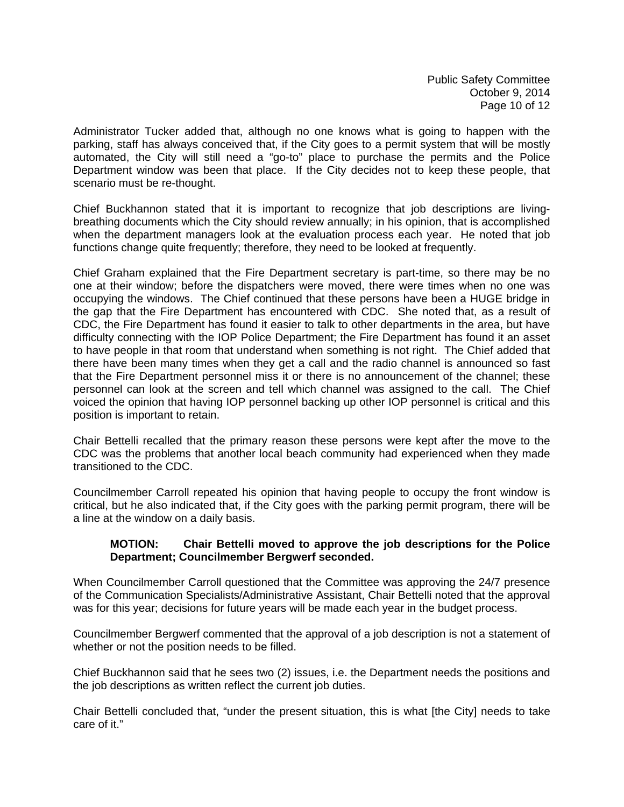Public Safety Committee October 9, 2014 Page 10 of 12

Administrator Tucker added that, although no one knows what is going to happen with the parking, staff has always conceived that, if the City goes to a permit system that will be mostly automated, the City will still need a "go-to" place to purchase the permits and the Police Department window was been that place. If the City decides not to keep these people, that scenario must be re-thought.

Chief Buckhannon stated that it is important to recognize that job descriptions are livingbreathing documents which the City should review annually; in his opinion, that is accomplished when the department managers look at the evaluation process each year. He noted that job functions change quite frequently; therefore, they need to be looked at frequently.

Chief Graham explained that the Fire Department secretary is part-time, so there may be no one at their window; before the dispatchers were moved, there were times when no one was occupying the windows. The Chief continued that these persons have been a HUGE bridge in the gap that the Fire Department has encountered with CDC. She noted that, as a result of CDC, the Fire Department has found it easier to talk to other departments in the area, but have difficulty connecting with the IOP Police Department; the Fire Department has found it an asset to have people in that room that understand when something is not right. The Chief added that there have been many times when they get a call and the radio channel is announced so fast that the Fire Department personnel miss it or there is no announcement of the channel; these personnel can look at the screen and tell which channel was assigned to the call. The Chief voiced the opinion that having IOP personnel backing up other IOP personnel is critical and this position is important to retain.

Chair Bettelli recalled that the primary reason these persons were kept after the move to the CDC was the problems that another local beach community had experienced when they made transitioned to the CDC.

Councilmember Carroll repeated his opinion that having people to occupy the front window is critical, but he also indicated that, if the City goes with the parking permit program, there will be a line at the window on a daily basis.

## **MOTION: Chair Bettelli moved to approve the job descriptions for the Police Department; Councilmember Bergwerf seconded.**

When Councilmember Carroll questioned that the Committee was approving the 24/7 presence of the Communication Specialists/Administrative Assistant, Chair Bettelli noted that the approval was for this year; decisions for future years will be made each year in the budget process.

Councilmember Bergwerf commented that the approval of a job description is not a statement of whether or not the position needs to be filled.

Chief Buckhannon said that he sees two (2) issues, i.e. the Department needs the positions and the job descriptions as written reflect the current job duties.

Chair Bettelli concluded that, "under the present situation, this is what [the City] needs to take care of it."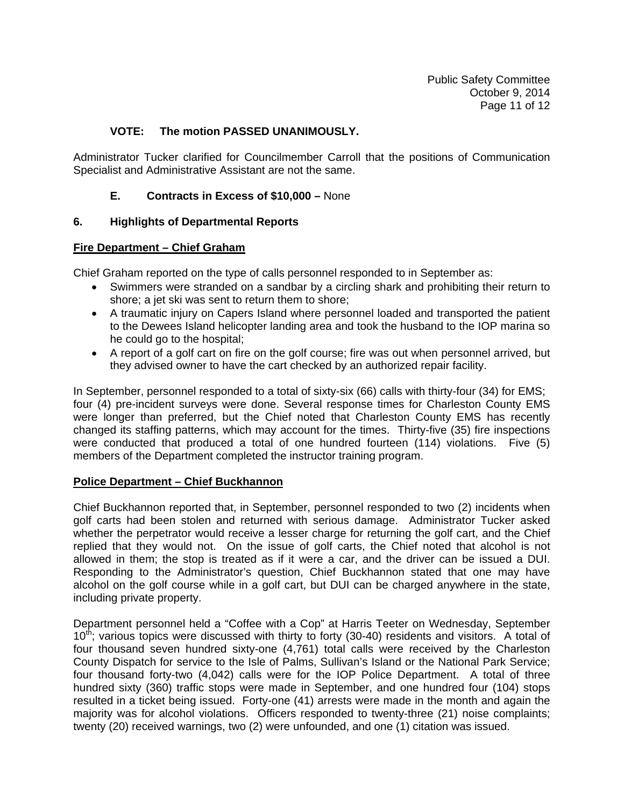## **VOTE: The motion PASSED UNANIMOUSLY.**

Administrator Tucker clarified for Councilmember Carroll that the positions of Communication Specialist and Administrative Assistant are not the same.

## **E. Contracts in Excess of \$10,000 –** None

### **6. Highlights of Departmental Reports**

#### **Fire Department – Chief Graham**

Chief Graham reported on the type of calls personnel responded to in September as:

- Swimmers were stranded on a sandbar by a circling shark and prohibiting their return to shore; a jet ski was sent to return them to shore;
- A traumatic injury on Capers Island where personnel loaded and transported the patient to the Dewees Island helicopter landing area and took the husband to the IOP marina so he could go to the hospital;
- A report of a golf cart on fire on the golf course; fire was out when personnel arrived, but they advised owner to have the cart checked by an authorized repair facility.

In September, personnel responded to a total of sixty-six (66) calls with thirty-four (34) for EMS; four (4) pre-incident surveys were done. Several response times for Charleston County EMS were longer than preferred, but the Chief noted that Charleston County EMS has recently changed its staffing patterns, which may account for the times. Thirty-five (35) fire inspections were conducted that produced a total of one hundred fourteen (114) violations. Five (5) members of the Department completed the instructor training program.

#### **Police Department – Chief Buckhannon**

Chief Buckhannon reported that, in September, personnel responded to two (2) incidents when golf carts had been stolen and returned with serious damage. Administrator Tucker asked whether the perpetrator would receive a lesser charge for returning the golf cart, and the Chief replied that they would not. On the issue of golf carts, the Chief noted that alcohol is not allowed in them; the stop is treated as if it were a car, and the driver can be issued a DUI. Responding to the Administrator's question, Chief Buckhannon stated that one may have alcohol on the golf course while in a golf cart, but DUI can be charged anywhere in the state, including private property.

Department personnel held a "Coffee with a Cop" at Harris Teeter on Wednesday, September  $10<sup>th</sup>$ ; various topics were discussed with thirty to forty (30-40) residents and visitors. A total of four thousand seven hundred sixty-one (4,761) total calls were received by the Charleston County Dispatch for service to the Isle of Palms, Sullivan's Island or the National Park Service; four thousand forty-two (4,042) calls were for the IOP Police Department. A total of three hundred sixty (360) traffic stops were made in September, and one hundred four (104) stops resulted in a ticket being issued. Forty-one (41) arrests were made in the month and again the majority was for alcohol violations. Officers responded to twenty-three (21) noise complaints; twenty (20) received warnings, two (2) were unfounded, and one (1) citation was issued.